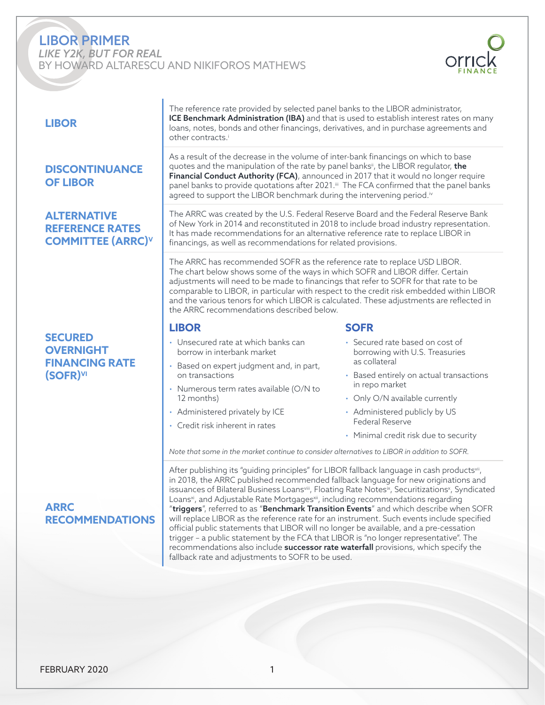# LIBOR PRIMER

*LIKE Y2K, BUT FOR REAL* BY HOWARD ALTARESCU AND NIKIFOROS MATHEWS



| <b>LIBOR</b>                                                                 | The reference rate provided by selected panel banks to the LIBOR administrator,<br>ICE Benchmark Administration (IBA) and that is used to establish interest rates on many<br>loans, notes, bonds and other financings, derivatives, and in purchase agreements and<br>other contracts. <sup>i</sup>                                                                                                                                                                                      |                                                                                                                                                                                                   |  |
|------------------------------------------------------------------------------|-------------------------------------------------------------------------------------------------------------------------------------------------------------------------------------------------------------------------------------------------------------------------------------------------------------------------------------------------------------------------------------------------------------------------------------------------------------------------------------------|---------------------------------------------------------------------------------------------------------------------------------------------------------------------------------------------------|--|
| <b>DISCONTINUANCE</b><br><b>OF LIBOR</b>                                     | As a result of the decrease in the volume of inter-bank financings on which to base<br>quotes and the manipulation of the rate by panel banks <sup>i</sup> , the LIBOR regulator, the<br>Financial Conduct Authority (FCA), announced in 2017 that it would no longer require<br>panel banks to provide quotations after 2021." The FCA confirmed that the panel banks<br>agreed to support the LIBOR benchmark during the intervening period. <sup>iv</sup>                              |                                                                                                                                                                                                   |  |
| <b>ALTERNATIVE</b><br><b>REFERENCE RATES</b><br><b>COMMITTEE (ARRC)V</b>     | The ARRC was created by the U.S. Federal Reserve Board and the Federal Reserve Bank<br>of New York in 2014 and reconstituted in 2018 to include broad industry representation.<br>It has made recommendations for an alternative reference rate to replace LIBOR in<br>financings, as well as recommendations for related provisions.                                                                                                                                                     |                                                                                                                                                                                                   |  |
|                                                                              | The ARRC has recommended SOFR as the reference rate to replace USD LIBOR.<br>The chart below shows some of the ways in which SOFR and LIBOR differ. Certain<br>adjustments will need to be made to financings that refer to SOFR for that rate to be<br>comparable to LIBOR, in particular with respect to the credit risk embedded within LIBOR<br>and the various tenors for which LIBOR is calculated. These adjustments are reflected in<br>the ARRC recommendations described below. |                                                                                                                                                                                                   |  |
|                                                                              | <b>LIBOR</b>                                                                                                                                                                                                                                                                                                                                                                                                                                                                              | <b>SOFR</b>                                                                                                                                                                                       |  |
| <b>SECURED</b><br><b>OVERNIGHT</b><br><b>FINANCING RATE</b><br>$(SOFR)^{VI}$ | • Unsecured rate at which banks can<br>borrow in interbank market                                                                                                                                                                                                                                                                                                                                                                                                                         | • Secured rate based on cost of<br>borrowing with U.S. Treasuries<br>as collateral                                                                                                                |  |
|                                                                              | · Based on expert judgment and, in part,<br>on transactions                                                                                                                                                                                                                                                                                                                                                                                                                               | • Based entirely on actual transactions                                                                                                                                                           |  |
|                                                                              | • Numerous term rates available (O/N to                                                                                                                                                                                                                                                                                                                                                                                                                                                   | in repo market                                                                                                                                                                                    |  |
|                                                                              | 12 months)<br>• Administered privately by ICE                                                                                                                                                                                                                                                                                                                                                                                                                                             | • Only O/N available currently<br>• Administered publicly by US                                                                                                                                   |  |
|                                                                              | • Credit risk inherent in rates                                                                                                                                                                                                                                                                                                                                                                                                                                                           | <b>Federal Reserve</b>                                                                                                                                                                            |  |
|                                                                              |                                                                                                                                                                                                                                                                                                                                                                                                                                                                                           | • Minimal credit risk due to security                                                                                                                                                             |  |
|                                                                              | Note that some in the market continue to consider alternatives to LIBOR in addition to SOFR.                                                                                                                                                                                                                                                                                                                                                                                              |                                                                                                                                                                                                   |  |
|                                                                              | After publishing its "guiding principles" for LIBOR fallback language in cash productsvii,<br>in 2018, the ARRC published recommended fallback language for new originations and<br>issuances of Bilateral Business Loansviii, Floating Rate Notesix, Securitizationsx, Syndicated                                                                                                                                                                                                        |                                                                                                                                                                                                   |  |
| <b>ARRC</b>                                                                  |                                                                                                                                                                                                                                                                                                                                                                                                                                                                                           | Loans <sup>xi</sup> , and Adjustable Rate Mortgages <sup>xii</sup> , including recommendations regarding<br>"triggers", referred to as "Benchmark Transition Events" and which describe when SOFR |  |
| <b>RECOMMENDATIONS</b>                                                       | will replace LIBOR as the reference rate for an instrument. Such events include specified                                                                                                                                                                                                                                                                                                                                                                                                 |                                                                                                                                                                                                   |  |
|                                                                              | official public statements that LIBOR will no longer be available, and a pre-cessation<br>trigger - a public statement by the FCA that LIBOR is "no longer representative". The                                                                                                                                                                                                                                                                                                           |                                                                                                                                                                                                   |  |
|                                                                              | recommendations also include successor rate waterfall provisions, which specify the                                                                                                                                                                                                                                                                                                                                                                                                       |                                                                                                                                                                                                   |  |

fallback rate and adjustments to SOFR to be used.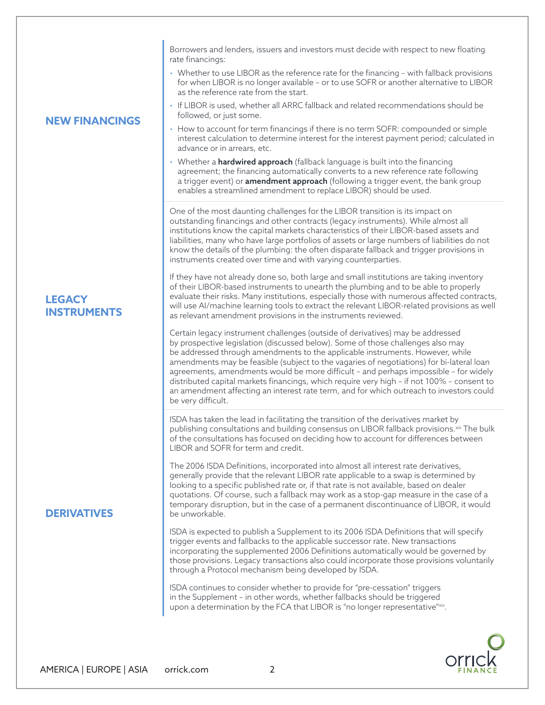**NEW FINANCINGS** Borrowers and lenders, issuers and investors must decide with respect to new floating rate financings: • Whether to use LIBOR as the reference rate for the financing – with fallback provisions for when LIBOR is no longer available – or to use SOFR or another alternative to LIBOR as the reference rate from the start. • If LIBOR is used, whether all ARRC fallback and related recommendations should be followed, or just some. • How to account for term financings if there is no term SOFR: compounded or simple interest calculation to determine interest for the interest payment period; calculated in advance or in arrears, etc. • Whether a **hardwired approach** (fallback language is built into the financing agreement; the financing automatically converts to a new reference rate following a trigger event) or **amendment approach** (following a trigger event, the bank group enables a streamlined amendment to replace LIBOR) should be used. **LEGACY INSTRUMENTS** One of the most daunting challenges for the LIBOR transition is its impact on outstanding financings and other contracts (legacy instruments). While almost all institutions know the capital markets characteristics of their LIBOR-based assets and liabilities, many who have large portfolios of assets or large numbers of liabilities do not know the details of the plumbing: the often disparate fallback and trigger provisions in instruments created over time and with varying counterparties. If they have not already done so, both large and small institutions are taking inventory of their LIBOR-based instruments to unearth the plumbing and to be able to properly evaluate their risks. Many institutions, especially those with numerous affected contracts, will use AI/machine learning tools to extract the relevant LIBOR-related provisions as well as relevant amendment provisions in the instruments reviewed. Certain legacy instrument challenges (outside of derivatives) may be addressed by prospective legislation (discussed below). Some of those challenges also may be addressed through amendments to the applicable instruments. However, while amendments may be feasible (subject to the vagaries of negotiations) for bi-lateral loan agreements, amendments would be more difficult – and perhaps impossible – for widely distributed capital markets financings, which require very high – if not 100% – consent to an amendment affecting an interest rate term, and for which outreach to investors could be very difficult. **DERIVATIVES** ISDA has taken the lead in facilitating the transition of the derivatives market by publishing consultations and building consensus on LIBOR fallback provisions.<sup>xiii</sup> The bulk of the consultations has focused on deciding how to account for differences between LIBOR and SOFR for term and credit. The 2006 ISDA Definitions, incorporated into almost all interest rate derivatives, generally provide that the relevant LIBOR rate applicable to a swap is determined by looking to a specific published rate or, if that rate is not available, based on dealer quotations. Of course, such a fallback may work as a stop-gap measure in the case of a temporary disruption, but in the case of a permanent discontinuance of LIBOR, it would be unworkable. ISDA is expected to publish a Supplement to its 2006 ISDA Definitions that will specify trigger events and fallbacks to the applicable successor rate. New transactions incorporating the supplemented 2006 Definitions automatically would be governed by those provisions. Legacy transactions also could incorporate those provisions voluntarily through a Protocol mechanism being developed by ISDA. ISDA continues to consider whether to provide for "pre-cessation" triggers in the Supplement – in other words, whether fallbacks should be triggered upon a determination by the FCA that LIBOR is "no longer representative"xiv.

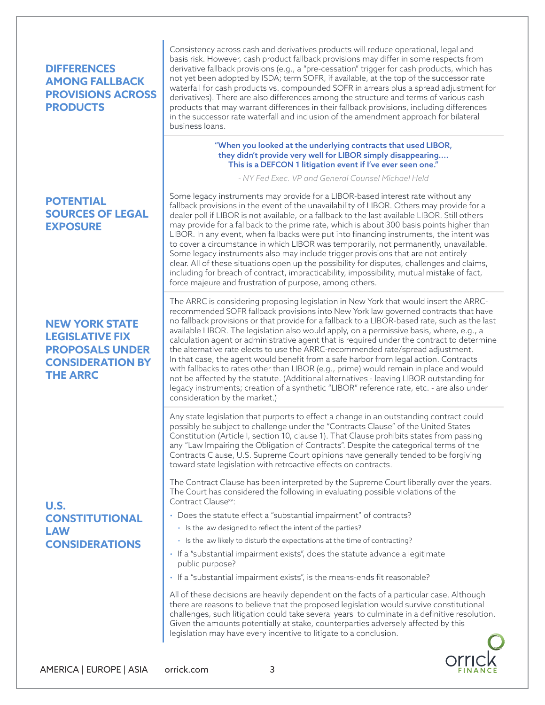# **DIFFERENCES AMONG FALLBACK PROVISIONS ACROSS PRODUCTS**

## **POTENTIAL SOURCES OF LEGAL EXPOSURE**

## **NEW YORK STATE LEGISLATIVE FIX PROPOSALS UNDER CONSIDERATION BY THE ARRC**

### **U.S. CONSTITUTIONAL LAW CONSIDERATIONS**

Consistency across cash and derivatives products will reduce operational, legal and basis risk. However, cash product fallback provisions may differ in some respects from derivative fallback provisions (e.g., a "pre-cessation" trigger for cash products, which has not yet been adopted by ISDA; term SOFR, if available, at the top of the successor rate waterfall for cash products vs. compounded SOFR in arrears plus a spread adjustment for derivatives). There are also differences among the structure and terms of various cash products that may warrant differences in their fallback provisions, including differences in the successor rate waterfall and inclusion of the amendment approach for bilateral business loans.

#### "When you looked at the underlying contracts that used LIBOR, they didn't provide very well for LIBOR simply disappearing.... This is a DEFCON 1 litigation event if I've ever seen one."

*- NY Fed Exec. VP and General Counsel Michael Held*

Some legacy instruments may provide for a LIBOR-based interest rate without any fallback provisions in the event of the unavailability of LIBOR. Others may provide for a dealer poll if LIBOR is not available, or a fallback to the last available LIBOR. Still others may provide for a fallback to the prime rate, which is about 300 basis points higher than LIBOR. In any event, when fallbacks were put into financing instruments, the intent was to cover a circumstance in which LIBOR was temporarily, not permanently, unavailable. Some legacy instruments also may include trigger provisions that are not entirely clear. All of these situations open up the possibility for disputes, challenges and claims, including for breach of contract, impracticability, impossibility, mutual mistake of fact, force majeure and frustration of purpose, among others.

The ARRC is considering proposing legislation in New York that would insert the ARRCrecommended SOFR fallback provisions into New York law governed contracts that have no fallback provisions or that provide for a fallback to a LIBOR-based rate, such as the last available LIBOR. The legislation also would apply, on a permissive basis, where, e.g., a calculation agent or administrative agent that is required under the contract to determine the alternative rate elects to use the ARRC-recommended rate/spread adjustment. In that case, the agent would benefit from a safe harbor from legal action. Contracts with fallbacks to rates other than LIBOR (e.g., prime) would remain in place and would not be affected by the statute. (Additional alternatives - leaving LIBOR outstanding for legacy instruments; creation of a synthetic "LIBOR" reference rate, etc. - are also under consideration by the market.)

Any state legislation that purports to effect a change in an outstanding contract could possibly be subject to challenge under the "Contracts Clause" of the United States Constitution (Article I, section 10, clause 1). That Clause prohibits states from passing any "Law Impairing the Obligation of Contracts". Despite the categorical terms of the Contracts Clause, U.S. Supreme Court opinions have generally tended to be forgiving toward state legislation with retroactive effects on contracts.

The Contract Clause has been interpreted by the Supreme Court liberally over the years. The Court has considered the following in evaluating possible violations of the Contract Clause<sup>xv</sup>:

- Does the statute effect a "substantial impairment" of contracts?
	- Is the law designed to reflect the intent of the parties?
	- Is the law likely to disturb the expectations at the time of contracting?
- If a "substantial impairment exists", does the statute advance a legitimate public purpose?
- If a "substantial impairment exists", is the means-ends fit reasonable?

All of these decisions are heavily dependent on the facts of a particular case. Although there are reasons to believe that the proposed legislation would survive constitutional challenges, such litigation could take several years to culminate in a definitive resolution. Given the amounts potentially at stake, counterparties adversely affected by this legislation may have every incentive to litigate to a conclusion.